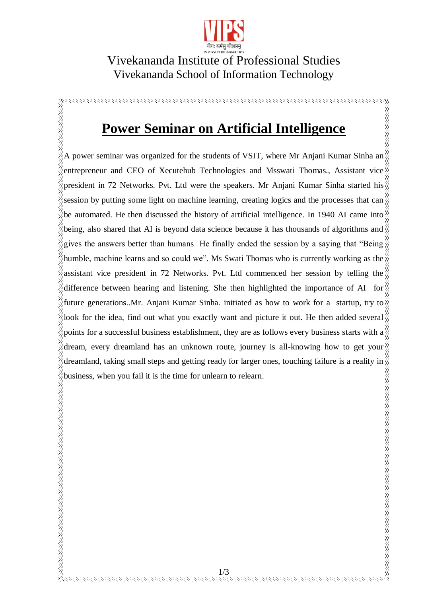

## Vivekananda Institute of Professional Studies Vivekananda School of Information Technology

## **Power Seminar on Artificial Intelligence**

KKK KKK KKK

KKKKKKKK

A power seminar was organized for the students of VSIT, where Mr Anjani Kumar Sinha an entrepreneur and CEO of Xecutehub Technologies and Msswati Thomas., Assistant vice president in 72 Networks. Pvt. Ltd were the speakers. Mr Anjani Kumar Sinha started his session by putting some light on machine learning, creating logics and the processes that can be automated. He then discussed the history of artificial intelligence. In 1940 AI came into being, also shared that AI is beyond data science because it has thousands of algorithms and gives the answers better than humans He finally ended the session by a saying that "Being humble, machine learns and so could we". Ms Swati Thomas who is currently working as the assistant vice president in 72 Networks. Pvt. Ltd commenced her session by telling the difference between hearing and listening. She then highlighted the importance of AI for future generations..Mr. Anjani Kumar Sinha. initiated as how to work for a startup, try to  $\delta$ look for the idea, find out what you exactly want and picture it out. He then added several points for a successful business establishment, they are as follows every business starts with a dream, every dreamland has an unknown route, journey is all-knowing how to get your dreamland, taking small steps and getting ready for larger ones, touching failure is a reality in business, when you fail it is the time for unlearn to relearn.

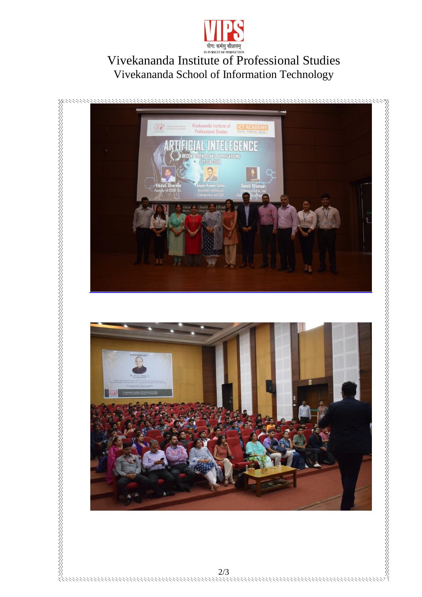

## *Anti Berlig Alarges*<br>
Vivekananda Institute of Professional Studies<br>
Vivekananda School of Information Technology Vivekananda School of Information Technology